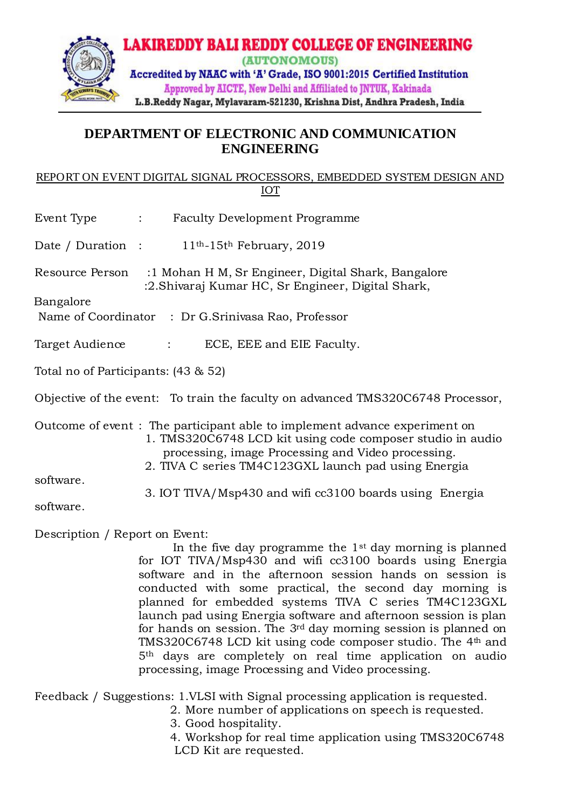

## **DEPARTMENT OF ELECTRONIC AND COMMUNICATION ENGINEERING**

## REPORT ON EVENT DIGITAL SIGNAL PROCESSORS, EMBEDDED SYSTEM DESIGN AND IOT

| Event Type |  | <b>Faculty Development Programme</b> |
|------------|--|--------------------------------------|
|------------|--|--------------------------------------|

Date / Duration : 11<sup>th</sup>-15<sup>th</sup> February, 2019

Resource Person :1 Mohan H M, Sr Engineer, Digital Shark, Bangalore :2.Shivaraj Kumar HC, Sr Engineer, Digital Shark,

Bangalore

Name of Coordinator : Dr G.Srinivasa Rao, Professor

Target Audience : ECE, EEE and EIE Faculty.

Total no of Participants: (43 & 52)

Objective of the event: To train the faculty on advanced TMS320C6748 Processor,

Outcome of event : The participant able to implement advance experiment on 1. TMS320C6748 LCD kit using code composer studio in audio processing, image Processing and Video processing. 2. TIVA C series TM4C123GXL launch pad using Energia

software.

3. IOT TIVA/Msp430 and wifi cc3100 boards using Energia

software.

Description / Report on Event:

In the five day programme the  $1<sup>st</sup>$  day morning is planned for IOT TIVA/Msp430 and wifi cc3100 boards using Energia software and in the afternoon session hands on session is conducted with some practical, the second day morning is planned for embedded systems TIVA C series TM4C123GXL launch pad using Energia software and afternoon session is plan for hands on session. The 3rd day morning session is planned on TMS320C6748 LCD kit using code composer studio. The 4<sup>th</sup> and 5th days are completely on real time application on audio processing, image Processing and Video processing.

Feedback / Suggestions: 1.VLSI with Signal processing application is requested.

- 2. More number of applications on speech is requested.
- 3. Good hospitality.
- 4. Workshop for real time application using TMS320C6748 LCD Kit are requested.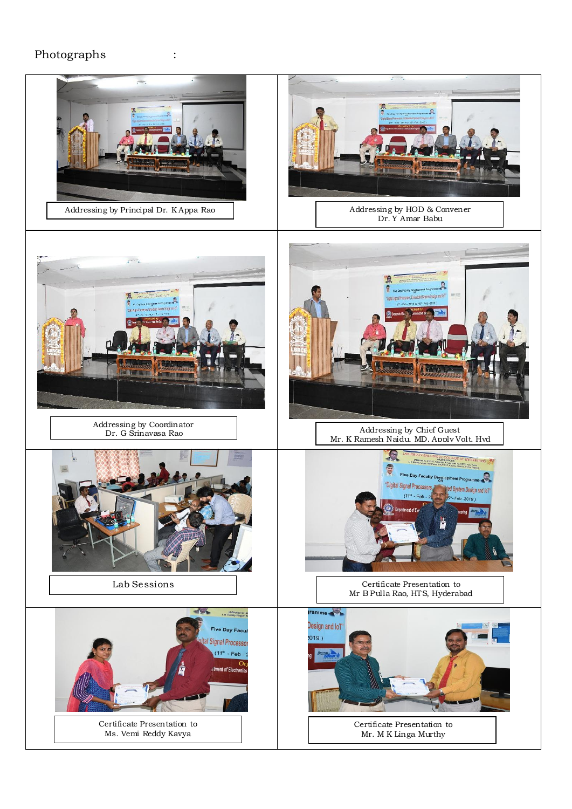## Photographs :